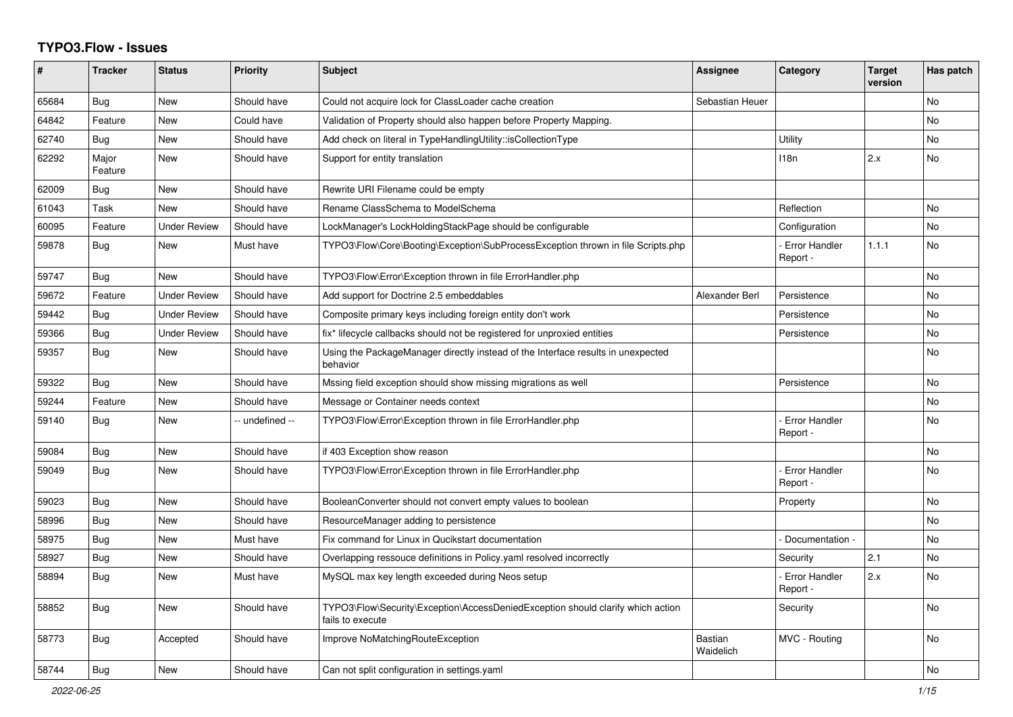## **TYPO3.Flow - Issues**

| #     | <b>Tracker</b>   | <b>Status</b>       | <b>Priority</b> | <b>Subject</b>                                                                                      | Assignee                    | <b>Category</b>                  | <b>Target</b><br>version | Has patch      |
|-------|------------------|---------------------|-----------------|-----------------------------------------------------------------------------------------------------|-----------------------------|----------------------------------|--------------------------|----------------|
| 65684 | Bug              | <b>New</b>          | Should have     | Could not acquire lock for ClassLoader cache creation                                               | Sebastian Heuer             |                                  |                          | No             |
| 64842 | Feature          | <b>New</b>          | Could have      | Validation of Property should also happen before Property Mapping.                                  |                             |                                  |                          | No.            |
| 62740 | Bug              | <b>New</b>          | Should have     | Add check on literal in TypeHandlingUtility::isCollectionType                                       |                             | Utility                          |                          | N <sub>o</sub> |
| 62292 | Major<br>Feature | <b>New</b>          | Should have     | Support for entity translation                                                                      |                             | 118n                             | 2.x                      | N <sub>o</sub> |
| 62009 | Bug              | <b>New</b>          | Should have     | Rewrite URI Filename could be empty                                                                 |                             |                                  |                          |                |
| 61043 | Task             | <b>New</b>          | Should have     | Rename ClassSchema to ModelSchema                                                                   |                             | Reflection                       |                          | No.            |
| 60095 | Feature          | <b>Under Review</b> | Should have     | LockManager's LockHoldingStackPage should be configurable                                           |                             | Configuration                    |                          | No             |
| 59878 | <b>Bug</b>       | <b>New</b>          | Must have       | TYPO3\Flow\Core\Booting\Exception\SubProcessException thrown in file Scripts.php                    |                             | <b>Error Handler</b><br>Report - | 1.1.1                    | N <sub>o</sub> |
| 59747 | Bug              | <b>New</b>          | Should have     | TYPO3\Flow\Error\Exception thrown in file ErrorHandler.php                                          |                             |                                  |                          | <b>No</b>      |
| 59672 | Feature          | <b>Under Review</b> | Should have     | Add support for Doctrine 2.5 embeddables                                                            | Alexander Berl              | Persistence                      |                          | N <sub>o</sub> |
| 59442 | Bug              | <b>Under Review</b> | Should have     | Composite primary keys including foreign entity don't work                                          |                             | Persistence                      |                          | N <sub>o</sub> |
| 59366 | Bug              | <b>Under Review</b> | Should have     | fix* lifecycle callbacks should not be registered for unproxied entities                            |                             | Persistence                      |                          | No             |
| 59357 | Bug              | <b>New</b>          | Should have     | Using the PackageManager directly instead of the Interface results in unexpected<br>behavior        |                             |                                  |                          | No.            |
| 59322 | <b>Bug</b>       | <b>New</b>          | Should have     | Mssing field exception should show missing migrations as well                                       |                             | Persistence                      |                          | N <sub>o</sub> |
| 59244 | Feature          | <b>New</b>          | Should have     | Message or Container needs context                                                                  |                             |                                  |                          | N <sub>o</sub> |
| 59140 | Bug              | <b>New</b>          | -- undefined -- | TYPO3\Flow\Error\Exception thrown in file ErrorHandler.php                                          |                             | <b>Error Handler</b><br>Report - |                          | N <sub>o</sub> |
| 59084 | Bug              | <b>New</b>          | Should have     | if 403 Exception show reason                                                                        |                             |                                  |                          | No             |
| 59049 | Bug              | <b>New</b>          | Should have     | TYPO3\Flow\Error\Exception thrown in file ErrorHandler.php                                          |                             | <b>Error Handler</b><br>Report - |                          | <b>No</b>      |
| 59023 | Bug              | <b>New</b>          | Should have     | BooleanConverter should not convert empty values to boolean                                         |                             | Property                         |                          | N <sub>o</sub> |
| 58996 | Bug              | <b>New</b>          | Should have     | ResourceManager adding to persistence                                                               |                             |                                  |                          | <b>No</b>      |
| 58975 | Bug              | <b>New</b>          | Must have       | Fix command for Linux in Qucikstart documentation                                                   |                             | Documentation -                  |                          | N <sub>o</sub> |
| 58927 | <b>Bug</b>       | <b>New</b>          | Should have     | Overlapping ressouce definitions in Policy yaml resolved incorrectly                                |                             | Security                         | 2.1                      | N <sub>o</sub> |
| 58894 | Bug              | New                 | Must have       | MySQL max key length exceeded during Neos setup                                                     |                             | <b>Error Handler</b><br>Report - | 2.x                      | N <sub>o</sub> |
| 58852 | Bug              | <b>New</b>          | Should have     | TYPO3\Flow\Security\Exception\AccessDeniedException should clarify which action<br>fails to execute |                             | Security                         |                          | N <sub>o</sub> |
| 58773 | Bug              | Accepted            | Should have     | Improve NoMatchingRouteException                                                                    | <b>Bastian</b><br>Waidelich | MVC - Routing                    |                          | No             |
| 58744 | <b>Bug</b>       | New                 | Should have     | Can not split configuration in settings yaml                                                        |                             |                                  |                          | No             |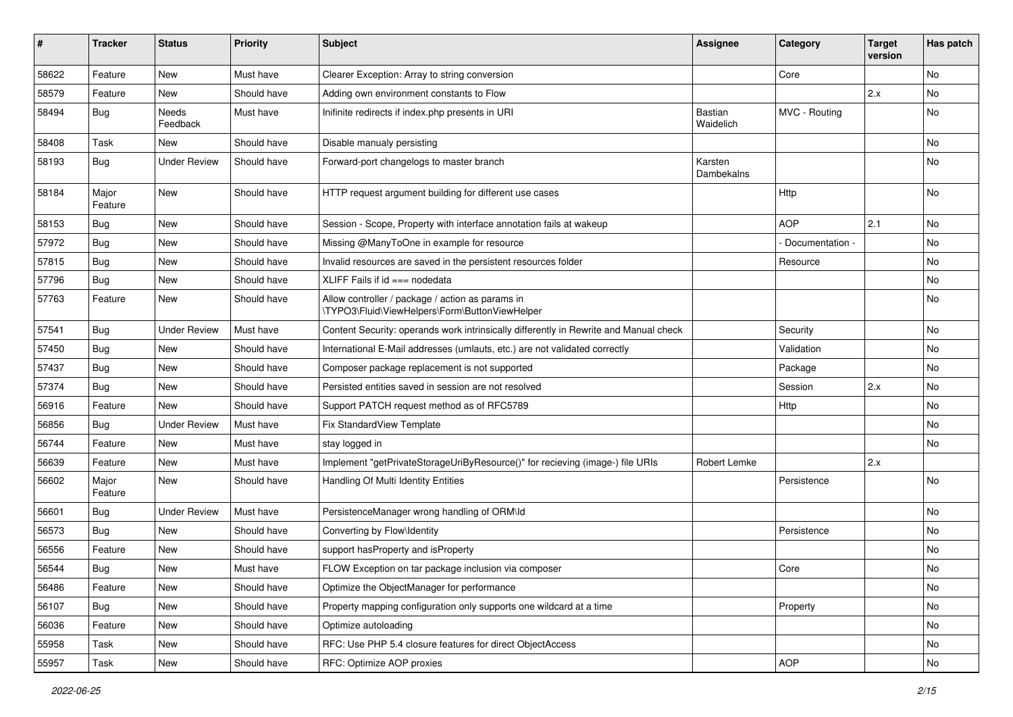| #     | <b>Tracker</b>   | <b>Status</b>       | <b>Priority</b> | <b>Subject</b>                                                                                     | Assignee                    | Category        | <b>Target</b><br>version | Has patch |
|-------|------------------|---------------------|-----------------|----------------------------------------------------------------------------------------------------|-----------------------------|-----------------|--------------------------|-----------|
| 58622 | Feature          | New                 | Must have       | Clearer Exception: Array to string conversion                                                      |                             | Core            |                          | No        |
| 58579 | Feature          | New                 | Should have     | Adding own environment constants to Flow                                                           |                             |                 | 2.x                      | No        |
| 58494 | <b>Bug</b>       | Needs<br>Feedback   | Must have       | Inifinite redirects if index.php presents in URI                                                   | <b>Bastian</b><br>Waidelich | MVC - Routing   |                          | No        |
| 58408 | Task             | New                 | Should have     | Disable manualy persisting                                                                         |                             |                 |                          | No        |
| 58193 | <b>Bug</b>       | <b>Under Review</b> | Should have     | Forward-port changelogs to master branch                                                           | Karsten<br>Dambekalns       |                 |                          | No        |
| 58184 | Major<br>Feature | New                 | Should have     | HTTP request argument building for different use cases                                             |                             | Http            |                          | No        |
| 58153 | <b>Bug</b>       | New                 | Should have     | Session - Scope, Property with interface annotation fails at wakeup                                |                             | <b>AOP</b>      | 2.1                      | No        |
| 57972 | <b>Bug</b>       | New                 | Should have     | Missing @ManyToOne in example for resource                                                         |                             | Documentation - |                          | No        |
| 57815 | Bug              | New                 | Should have     | Invalid resources are saved in the persistent resources folder                                     |                             | Resource        |                          | No        |
| 57796 | <b>Bug</b>       | New                 | Should have     | XLIFF Fails if $id ==$ nodedata                                                                    |                             |                 |                          | No        |
| 57763 | Feature          | New                 | Should have     | Allow controller / package / action as params in<br>\TYPO3\Fluid\ViewHelpers\Form\ButtonViewHelper |                             |                 |                          | No        |
| 57541 | Bug              | <b>Under Review</b> | Must have       | Content Security: operands work intrinsically differently in Rewrite and Manual check              |                             | Security        |                          | No        |
| 57450 | <b>Bug</b>       | New                 | Should have     | International E-Mail addresses (umlauts, etc.) are not validated correctly                         |                             | Validation      |                          | No        |
| 57437 | Bug              | New                 | Should have     | Composer package replacement is not supported                                                      |                             | Package         |                          | No        |
| 57374 | <b>Bug</b>       | New                 | Should have     | Persisted entities saved in session are not resolved                                               |                             | Session         | 2.x                      | No        |
| 56916 | Feature          | <b>New</b>          | Should have     | Support PATCH request method as of RFC5789                                                         |                             | Http            |                          | <b>No</b> |
| 56856 | Bug              | <b>Under Review</b> | Must have       | Fix StandardView Template                                                                          |                             |                 |                          | No        |
| 56744 | Feature          | New                 | Must have       | stay logged in                                                                                     |                             |                 |                          | No        |
| 56639 | Feature          | New                 | Must have       | Implement "getPrivateStorageUriByResource()" for recieving (image-) file URIs                      | Robert Lemke                |                 | 2.x                      |           |
| 56602 | Major<br>Feature | New                 | Should have     | Handling Of Multi Identity Entities                                                                |                             | Persistence     |                          | No        |
| 56601 | <b>Bug</b>       | <b>Under Review</b> | Must have       | PersistenceManager wrong handling of ORM\ld                                                        |                             |                 |                          | No        |
| 56573 | <b>Bug</b>       | New                 | Should have     | Converting by Flow\Identity                                                                        |                             | Persistence     |                          | No        |
| 56556 | Feature          | New                 | Should have     | support hasProperty and isProperty                                                                 |                             |                 |                          | No        |
| 56544 | Bug              | New                 | Must have       | FLOW Exception on tar package inclusion via composer                                               |                             | Core            |                          | No        |
| 56486 | Feature          | New                 | Should have     | Optimize the ObjectManager for performance                                                         |                             |                 |                          | No        |
| 56107 | <b>Bug</b>       | New                 | Should have     | Property mapping configuration only supports one wildcard at a time                                |                             | Property        |                          | No        |
| 56036 | Feature          | New                 | Should have     | Optimize autoloading                                                                               |                             |                 |                          | No        |
| 55958 | Task             | New                 | Should have     | RFC: Use PHP 5.4 closure features for direct ObjectAccess                                          |                             |                 |                          | No        |
| 55957 | Task             | New                 | Should have     | RFC: Optimize AOP proxies                                                                          |                             | AOP             |                          | No        |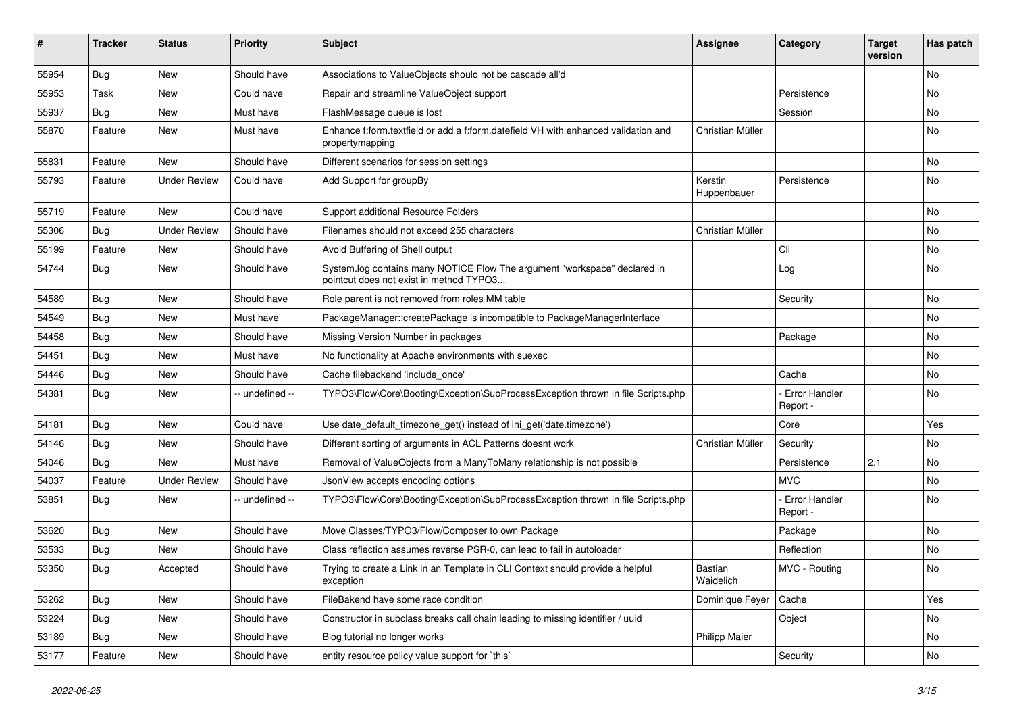| #     | Tracker    | <b>Status</b>       | <b>Priority</b> | <b>Subject</b>                                                                                                       | <b>Assignee</b>        | Category                         | <b>Target</b><br>version | Has patch |
|-------|------------|---------------------|-----------------|----------------------------------------------------------------------------------------------------------------------|------------------------|----------------------------------|--------------------------|-----------|
| 55954 | <b>Bug</b> | <b>New</b>          | Should have     | Associations to ValueObjects should not be cascade all'd                                                             |                        |                                  |                          | No        |
| 55953 | Task       | New                 | Could have      | Repair and streamline ValueObject support                                                                            |                        | Persistence                      |                          | No        |
| 55937 | <b>Bug</b> | New                 | Must have       | FlashMessage queue is lost                                                                                           |                        | Session                          |                          | No        |
| 55870 | Feature    | New                 | Must have       | Enhance f:form.textfield or add a f:form.datefield VH with enhanced validation and<br>propertymapping                | Christian Müller       |                                  |                          | No        |
| 55831 | Feature    | <b>New</b>          | Should have     | Different scenarios for session settings                                                                             |                        |                                  |                          | <b>No</b> |
| 55793 | Feature    | <b>Under Review</b> | Could have      | Add Support for groupBy                                                                                              | Kerstin<br>Huppenbauer | Persistence                      |                          | No        |
| 55719 | Feature    | New                 | Could have      | Support additional Resource Folders                                                                                  |                        |                                  |                          | No        |
| 55306 | <b>Bug</b> | <b>Under Review</b> | Should have     | Filenames should not exceed 255 characters                                                                           | Christian Müller       |                                  |                          | No        |
| 55199 | Feature    | New                 | Should have     | Avoid Buffering of Shell output                                                                                      |                        | Cli                              |                          | No        |
| 54744 | <b>Bug</b> | New                 | Should have     | System.log contains many NOTICE Flow The argument "workspace" declared in<br>pointcut does not exist in method TYPO3 |                        | Log                              |                          | No        |
| 54589 | <b>Bug</b> | <b>New</b>          | Should have     | Role parent is not removed from roles MM table                                                                       |                        | Security                         |                          | <b>No</b> |
| 54549 | <b>Bug</b> | New                 | Must have       | PackageManager::createPackage is incompatible to PackageManagerInterface                                             |                        |                                  |                          | No        |
| 54458 | <b>Bug</b> | New                 | Should have     | Missing Version Number in packages                                                                                   |                        | Package                          |                          | No        |
| 54451 | Bug        | New                 | Must have       | No functionality at Apache environments with suexec                                                                  |                        |                                  |                          | No        |
| 54446 | <b>Bug</b> | New                 | Should have     | Cache filebackend 'include once'                                                                                     |                        | Cache                            |                          | No        |
| 54381 | Bug        | New                 | -- undefined -- | TYPO3\Flow\Core\Booting\Exception\SubProcessException thrown in file Scripts.php                                     |                        | - Error Handler<br>Report -      |                          | No        |
| 54181 | <b>Bug</b> | New                 | Could have      | Use date_default_timezone_get() instead of ini_get('date.timezone')                                                  |                        | Core                             |                          | Yes       |
| 54146 | <b>Bug</b> | New                 | Should have     | Different sorting of arguments in ACL Patterns doesnt work                                                           | Christian Müller       | Security                         |                          | No        |
| 54046 | Bug        | New                 | Must have       | Removal of ValueObjects from a ManyToMany relationship is not possible                                               |                        | Persistence                      | 2.1                      | No        |
| 54037 | Feature    | <b>Under Review</b> | Should have     | JsonView accepts encoding options                                                                                    |                        | <b>MVC</b>                       |                          | No        |
| 53851 | Bug        | New                 | -- undefined -- | TYPO3\Flow\Core\Booting\Exception\SubProcessException thrown in file Scripts.php                                     |                        | <b>Error Handler</b><br>Report - |                          | No        |
| 53620 | <b>Bug</b> | New                 | Should have     | Move Classes/TYPO3/Flow/Composer to own Package                                                                      |                        | Package                          |                          | No        |
| 53533 | <b>Bug</b> | New                 | Should have     | Class reflection assumes reverse PSR-0, can lead to fail in autoloader                                               |                        | Reflection                       |                          | No        |
| 53350 | <b>Bug</b> | Accepted            | Should have     | Trying to create a Link in an Template in CLI Context should provide a helpful<br>exception                          | Bastian<br>Waidelich   | MVC - Routing                    |                          | No        |
| 53262 | Bug        | New                 | Should have     | FileBakend have some race condition                                                                                  | Dominique Feyer        | Cache                            |                          | Yes       |
| 53224 | Bug        | New                 | Should have     | Constructor in subclass breaks call chain leading to missing identifier / uuid                                       |                        | Object                           |                          | No        |
| 53189 | Bug        | New                 | Should have     | Blog tutorial no longer works                                                                                        | Philipp Maier          |                                  |                          | No        |
| 53177 | Feature    | New                 | Should have     | entity resource policy value support for `this`                                                                      |                        | Security                         |                          | No        |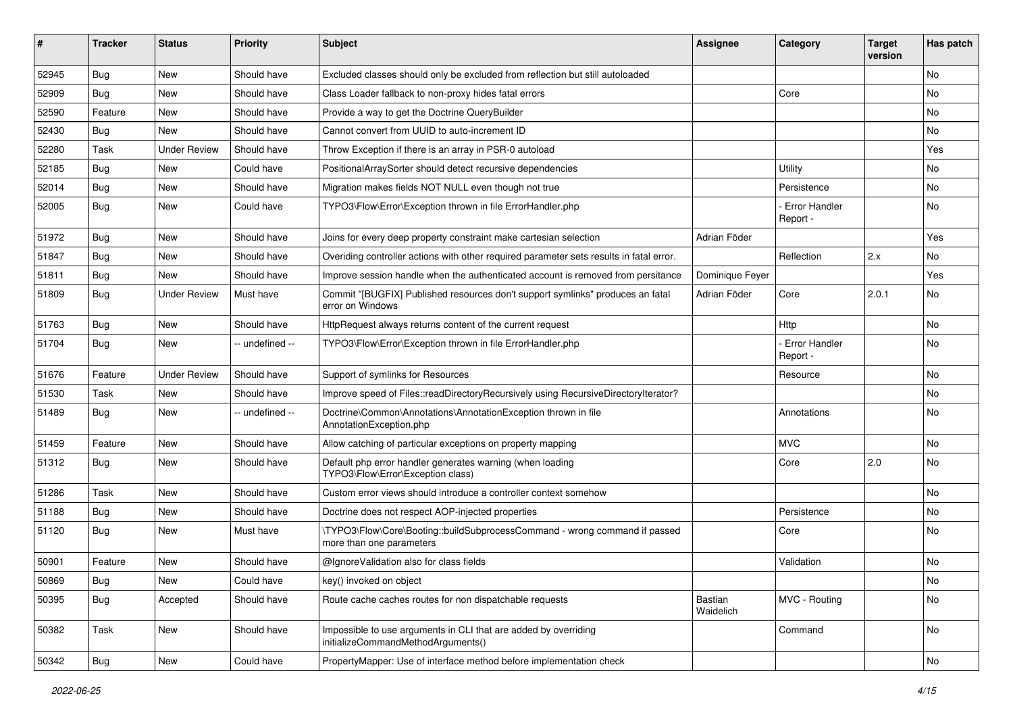| #     | <b>Tracker</b> | <b>Status</b>       | <b>Priority</b> | <b>Subject</b>                                                                                         | <b>Assignee</b>      | Category                         | <b>Target</b><br>version | Has patch |
|-------|----------------|---------------------|-----------------|--------------------------------------------------------------------------------------------------------|----------------------|----------------------------------|--------------------------|-----------|
| 52945 | Bug            | <b>New</b>          | Should have     | Excluded classes should only be excluded from reflection but still autoloaded                          |                      |                                  |                          | <b>No</b> |
| 52909 | <b>Bug</b>     | New                 | Should have     | Class Loader fallback to non-proxy hides fatal errors                                                  |                      | Core                             |                          | <b>No</b> |
| 52590 | Feature        | New                 | Should have     | Provide a way to get the Doctrine QueryBuilder                                                         |                      |                                  |                          | No        |
| 52430 | <b>Bug</b>     | New                 | Should have     | Cannot convert from UUID to auto-increment ID                                                          |                      |                                  |                          | No        |
| 52280 | Task           | <b>Under Review</b> | Should have     | Throw Exception if there is an array in PSR-0 autoload                                                 |                      |                                  |                          | Yes       |
| 52185 | Bug            | New                 | Could have      | PositionalArraySorter should detect recursive dependencies                                             |                      | Utility                          |                          | No        |
| 52014 | <b>Bug</b>     | New                 | Should have     | Migration makes fields NOT NULL even though not true                                                   |                      | Persistence                      |                          | No        |
| 52005 | <b>Bug</b>     | New                 | Could have      | TYPO3\Flow\Error\Exception thrown in file ErrorHandler.php                                             |                      | Error Handler<br>Report -        |                          | No        |
| 51972 | <b>Bug</b>     | <b>New</b>          | Should have     | Joins for every deep property constraint make cartesian selection                                      | Adrian Föder         |                                  |                          | Yes       |
| 51847 | <b>Bug</b>     | New                 | Should have     | Overiding controller actions with other required parameter sets results in fatal error.                |                      | Reflection                       | 2.x                      | <b>No</b> |
| 51811 | <b>Bug</b>     | New                 | Should have     | Improve session handle when the authenticated account is removed from persitance                       | Dominique Feyer      |                                  |                          | Yes       |
| 51809 | <b>Bug</b>     | <b>Under Review</b> | Must have       | Commit "[BUGFIX] Published resources don't support symlinks" produces an fatal<br>error on Windows     | Adrian Föder         | Core                             | 2.0.1                    | <b>No</b> |
| 51763 | <b>Bug</b>     | New                 | Should have     | HttpRequest always returns content of the current request                                              |                      | Http                             |                          | <b>No</b> |
| 51704 | <b>Bug</b>     | New                 | -- undefined -- | TYPO3\Flow\Error\Exception thrown in file ErrorHandler.php                                             |                      | <b>Error Handler</b><br>Report - |                          | <b>No</b> |
| 51676 | Feature        | <b>Under Review</b> | Should have     | Support of symlinks for Resources                                                                      |                      | Resource                         |                          | <b>No</b> |
| 51530 | Task           | New                 | Should have     | Improve speed of Files::readDirectoryRecursively using RecursiveDirectoryIterator?                     |                      |                                  |                          | No        |
| 51489 | Bug            | New                 | -- undefined -- | Doctrine\Common\Annotations\AnnotationException thrown in file<br>AnnotationException.php              |                      | Annotations                      |                          | No        |
| 51459 | Feature        | <b>New</b>          | Should have     | Allow catching of particular exceptions on property mapping                                            |                      | <b>MVC</b>                       |                          | <b>No</b> |
| 51312 | Bug            | New                 | Should have     | Default php error handler generates warning (when loading<br>TYPO3\Flow\Error\Exception class)         |                      | Core                             | 2.0                      | No        |
| 51286 | Task           | <b>New</b>          | Should have     | Custom error views should introduce a controller context somehow                                       |                      |                                  |                          | No        |
| 51188 | <b>Bug</b>     | New                 | Should have     | Doctrine does not respect AOP-injected properties                                                      |                      | Persistence                      |                          | <b>No</b> |
| 51120 | Bug            | New                 | Must have       | \TYPO3\Flow\Core\Booting::buildSubprocessCommand - wrong command if passed<br>more than one parameters |                      | Core                             |                          | <b>No</b> |
| 50901 | Feature        | New                 | Should have     | @IgnoreValidation also for class fields                                                                |                      | Validation                       |                          | No        |
| 50869 | Bug            | New                 | Could have      | key() invoked on object                                                                                |                      |                                  |                          | No        |
| 50395 | Bug            | Accepted            | Should have     | Route cache caches routes for non dispatchable requests                                                | Bastian<br>Waidelich | MVC - Routing                    |                          | No        |
| 50382 | Task           | New                 | Should have     | Impossible to use arguments in CLI that are added by overriding<br>initializeCommandMethodArguments()  |                      | Command                          |                          | No        |
| 50342 | <b>Bug</b>     | New                 | Could have      | PropertyMapper: Use of interface method before implementation check                                    |                      |                                  |                          | No        |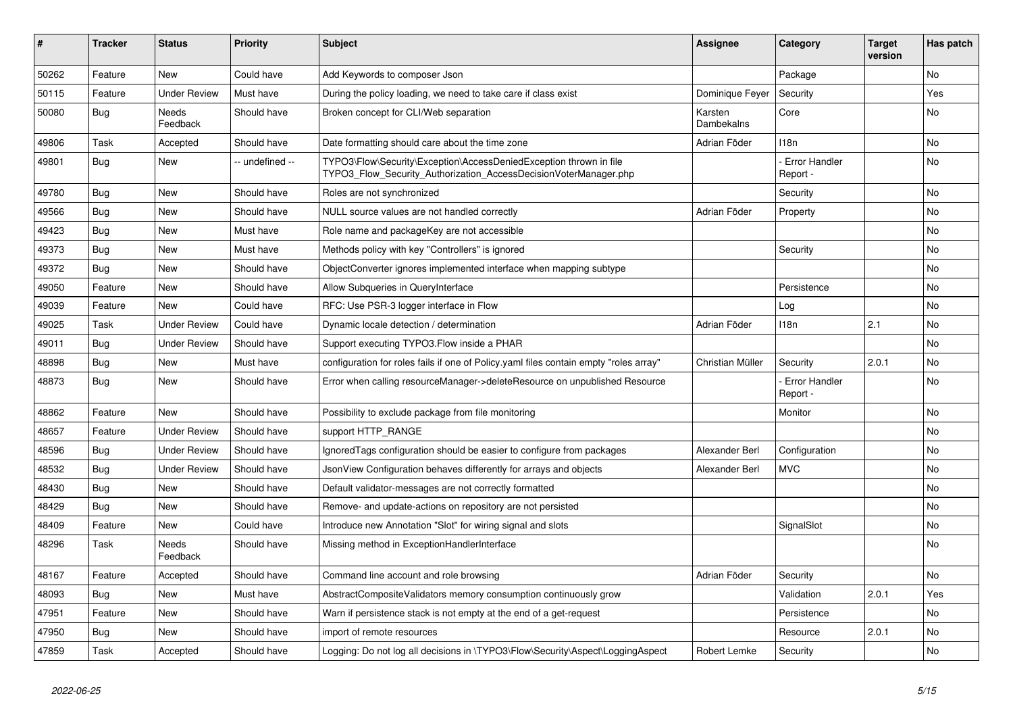| ∦     | <b>Tracker</b> | <b>Status</b>       | <b>Priority</b> | <b>Subject</b>                                                                                                                         | <b>Assignee</b>       | Category                         | <b>Target</b><br>version | Has patch      |
|-------|----------------|---------------------|-----------------|----------------------------------------------------------------------------------------------------------------------------------------|-----------------------|----------------------------------|--------------------------|----------------|
| 50262 | Feature        | <b>New</b>          | Could have      | Add Keywords to composer Json                                                                                                          |                       | Package                          |                          | N <sub>o</sub> |
| 50115 | Feature        | <b>Under Review</b> | Must have       | During the policy loading, we need to take care if class exist                                                                         | Dominique Fever       | Security                         |                          | Yes            |
| 50080 | Bug            | Needs<br>Feedback   | Should have     | Broken concept for CLI/Web separation                                                                                                  | Karsten<br>Dambekalns | Core                             |                          | No             |
| 49806 | Task           | Accepted            | Should have     | Date formatting should care about the time zone                                                                                        | Adrian Föder          | 118n                             |                          | No             |
| 49801 | <b>Bug</b>     | <b>New</b>          | - undefined --  | TYPO3\Flow\Security\Exception\AccessDeniedException thrown in file<br>TYPO3 Flow Security Authorization AccessDecisionVoterManager.php |                       | <b>Error Handler</b><br>Report - |                          | <b>No</b>      |
| 49780 | Bug            | <b>New</b>          | Should have     | Roles are not synchronized                                                                                                             |                       | Security                         |                          | <b>No</b>      |
| 49566 | Bug            | <b>New</b>          | Should have     | NULL source values are not handled correctly                                                                                           | Adrian Föder          | Property                         |                          | No             |
| 49423 | <b>Bug</b>     | <b>New</b>          | Must have       | Role name and packageKey are not accessible                                                                                            |                       |                                  |                          | No             |
| 49373 | <b>Bug</b>     | <b>New</b>          | Must have       | Methods policy with key "Controllers" is ignored                                                                                       |                       | Security                         |                          | <b>No</b>      |
| 49372 | <b>Bug</b>     | <b>New</b>          | Should have     | ObjectConverter ignores implemented interface when mapping subtype                                                                     |                       |                                  |                          | No             |
| 49050 | Feature        | <b>New</b>          | Should have     | Allow Subqueries in QueryInterface                                                                                                     |                       | Persistence                      |                          | No             |
| 49039 | Feature        | <b>New</b>          | Could have      | RFC: Use PSR-3 logger interface in Flow                                                                                                |                       | Log                              |                          | No             |
| 49025 | Task           | <b>Under Review</b> | Could have      | Dynamic locale detection / determination                                                                                               | Adrian Föder          | 118n                             | 2.1                      | <b>No</b>      |
| 49011 | Bug            | <b>Under Review</b> | Should have     | Support executing TYPO3. Flow inside a PHAR                                                                                            |                       |                                  |                          | No             |
| 48898 | Bug            | <b>New</b>          | Must have       | configuration for roles fails if one of Policy yaml files contain empty "roles array"                                                  | Christian Müller      | Security                         | 2.0.1                    | No             |
| 48873 | Bug            | <b>New</b>          | Should have     | Error when calling resourceManager->deleteResource on unpublished Resource                                                             |                       | Error Handler<br>Report -        |                          | No             |
| 48862 | Feature        | <b>New</b>          | Should have     | Possibility to exclude package from file monitoring                                                                                    |                       | Monitor                          |                          | No             |
| 48657 | Feature        | <b>Under Review</b> | Should have     | support HTTP RANGE                                                                                                                     |                       |                                  |                          | No             |
| 48596 | Bug            | <b>Under Review</b> | Should have     | Ignored Tags configuration should be easier to configure from packages                                                                 | Alexander Berl        | Configuration                    |                          | <b>No</b>      |
| 48532 | Bug            | <b>Under Review</b> | Should have     | JsonView Configuration behaves differently for arrays and objects                                                                      | Alexander Berl        | <b>MVC</b>                       |                          | No             |
| 48430 | Bug            | <b>New</b>          | Should have     | Default validator-messages are not correctly formatted                                                                                 |                       |                                  |                          | No             |
| 48429 | Bug            | <b>New</b>          | Should have     | Remove- and update-actions on repository are not persisted                                                                             |                       |                                  |                          | No             |
| 48409 | Feature        | <b>New</b>          | Could have      | Introduce new Annotation "Slot" for wiring signal and slots                                                                            |                       | SignalSlot                       |                          | No             |
| 48296 | Task           | Needs<br>Feedback   | Should have     | Missing method in ExceptionHandlerInterface                                                                                            |                       |                                  |                          | No             |
| 48167 | Feature        | Accepted            | Should have     | Command line account and role browsing                                                                                                 | Adrian Föder          | Security                         |                          | No             |
| 48093 | Bug            | <b>New</b>          | Must have       | AbstractCompositeValidators memory consumption continuously grow                                                                       |                       | Validation                       | 2.0.1                    | Yes            |
| 47951 | Feature        | <b>New</b>          | Should have     | Warn if persistence stack is not empty at the end of a get-request                                                                     |                       | Persistence                      |                          | No             |
| 47950 | Bug            | <b>New</b>          | Should have     | import of remote resources                                                                                                             |                       | Resource                         | 2.0.1                    | No             |
| 47859 | Task           | Accepted            | Should have     | Logging: Do not log all decisions in \TYPO3\Flow\Security\Aspect\LoggingAspect                                                         | Robert Lemke          | Security                         |                          | <b>No</b>      |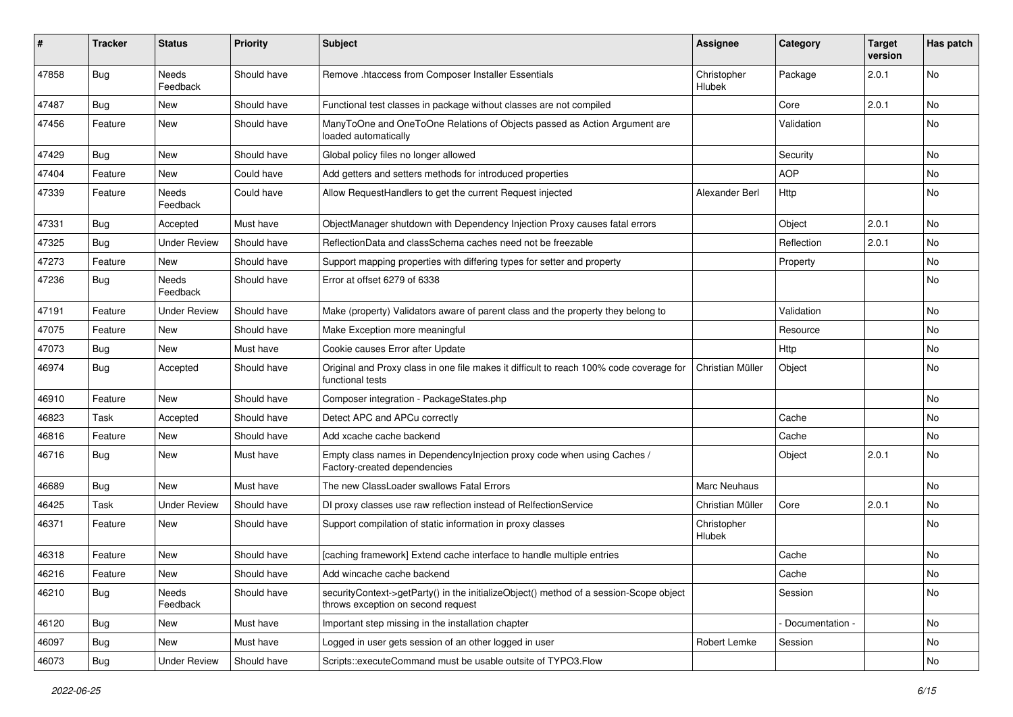| #     | Tracker    | <b>Status</b>       | <b>Priority</b> | <b>Subject</b>                                                                                                               | Assignee              | Category        | <b>Target</b><br>version | Has patch |
|-------|------------|---------------------|-----------------|------------------------------------------------------------------------------------------------------------------------------|-----------------------|-----------------|--------------------------|-----------|
| 47858 | <b>Bug</b> | Needs<br>Feedback   | Should have     | Remove .htaccess from Composer Installer Essentials                                                                          | Christopher<br>Hlubek | Package         | 2.0.1                    | No        |
| 47487 | Bug        | New                 | Should have     | Functional test classes in package without classes are not compiled                                                          |                       | Core            | 2.0.1                    | No        |
| 47456 | Feature    | New                 | Should have     | ManyToOne and OneToOne Relations of Objects passed as Action Argument are<br>loaded automatically                            |                       | Validation      |                          | No        |
| 47429 | <b>Bug</b> | New                 | Should have     | Global policy files no longer allowed                                                                                        |                       | Security        |                          | <b>No</b> |
| 47404 | Feature    | New                 | Could have      | Add getters and setters methods for introduced properties                                                                    |                       | <b>AOP</b>      |                          | No        |
| 47339 | Feature    | Needs<br>Feedback   | Could have      | Allow RequestHandlers to get the current Request injected                                                                    | Alexander Berl        | Http            |                          | No        |
| 47331 | <b>Bug</b> | Accepted            | Must have       | ObjectManager shutdown with Dependency Injection Proxy causes fatal errors                                                   |                       | Object          | 2.0.1                    | No        |
| 47325 | Bug        | <b>Under Review</b> | Should have     | ReflectionData and classSchema caches need not be freezable                                                                  |                       | Reflection      | 2.0.1                    | No        |
| 47273 | Feature    | New                 | Should have     | Support mapping properties with differing types for setter and property                                                      |                       | Property        |                          | No        |
| 47236 | <b>Bug</b> | Needs<br>Feedback   | Should have     | Error at offset 6279 of 6338                                                                                                 |                       |                 |                          | No        |
| 47191 | Feature    | <b>Under Review</b> | Should have     | Make (property) Validators aware of parent class and the property they belong to                                             |                       | Validation      |                          | No        |
| 47075 | Feature    | New                 | Should have     | Make Exception more meaningful                                                                                               |                       | Resource        |                          | No        |
| 47073 | <b>Bug</b> | New                 | Must have       | Cookie causes Error after Update                                                                                             |                       | Http            |                          | No        |
| 46974 | <b>Bug</b> | Accepted            | Should have     | Original and Proxy class in one file makes it difficult to reach 100% code coverage for<br>functional tests                  | Christian Müller      | Object          |                          | No        |
| 46910 | Feature    | New                 | Should have     | Composer integration - PackageStates.php                                                                                     |                       |                 |                          | No        |
| 46823 | Task       | Accepted            | Should have     | Detect APC and APCu correctly                                                                                                |                       | Cache           |                          | No        |
| 46816 | Feature    | New                 | Should have     | Add xcache cache backend                                                                                                     |                       | Cache           |                          | <b>No</b> |
| 46716 | <b>Bug</b> | New                 | Must have       | Empty class names in Dependencylnjection proxy code when using Caches /<br>Factory-created dependencies                      |                       | Object          | 2.0.1                    | No        |
| 46689 | <b>Bug</b> | New                 | Must have       | The new ClassLoader swallows Fatal Errors                                                                                    | Marc Neuhaus          |                 |                          | No        |
| 46425 | Task       | <b>Under Review</b> | Should have     | DI proxy classes use raw reflection instead of RelfectionService                                                             | Christian Müller      | Core            | 2.0.1                    | No.       |
| 46371 | Feature    | New                 | Should have     | Support compilation of static information in proxy classes                                                                   | Christopher<br>Hlubek |                 |                          | No        |
| 46318 | Feature    | New                 | Should have     | [caching framework] Extend cache interface to handle multiple entries                                                        |                       | Cache           |                          | No        |
| 46216 | Feature    | New                 | Should have     | Add wincache cache backend                                                                                                   |                       | Cache           |                          | No        |
| 46210 | Bug        | Needs<br>Feedback   | Should have     | securityContext->getParty() in the initializeObject() method of a session-Scope object<br>throws exception on second request |                       | Session         |                          | No        |
| 46120 | Bug        | New                 | Must have       | Important step missing in the installation chapter                                                                           |                       | Documentation - |                          | No        |
| 46097 | <b>Bug</b> | New                 | Must have       | Logged in user gets session of an other logged in user                                                                       | Robert Lemke          | Session         |                          | No        |
| 46073 | Bug        | <b>Under Review</b> | Should have     | Scripts::executeCommand must be usable outsite of TYPO3.Flow                                                                 |                       |                 |                          | No        |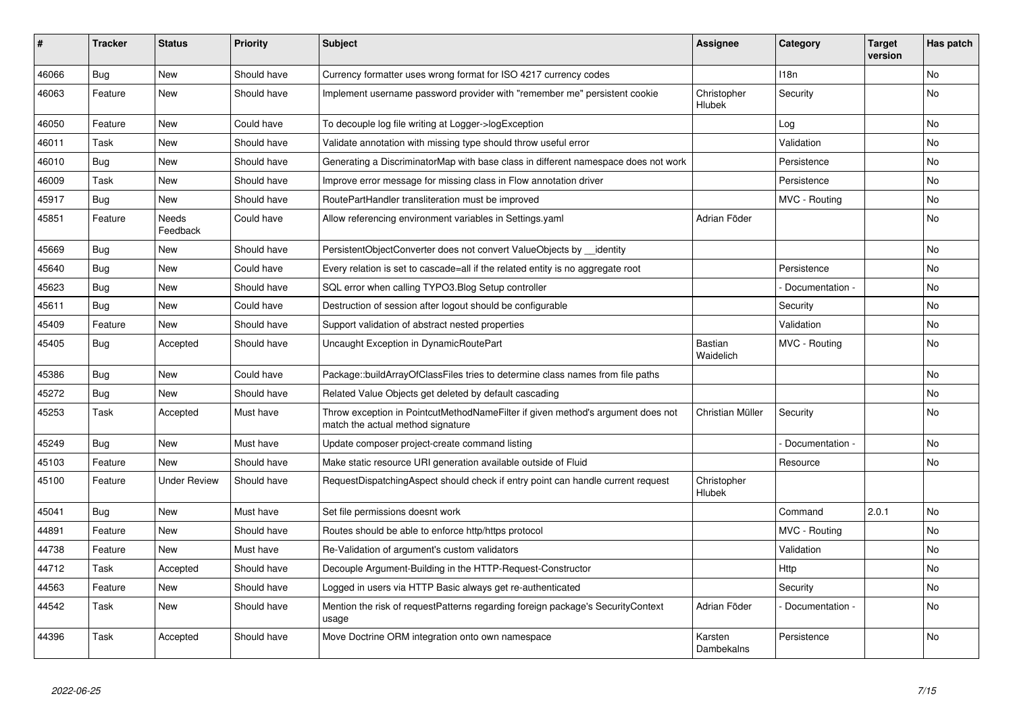| ∦     | <b>Tracker</b> | <b>Status</b>       | <b>Priority</b> | <b>Subject</b>                                                                                                       | <b>Assignee</b>              | Category        | Target<br>version | Has patch |
|-------|----------------|---------------------|-----------------|----------------------------------------------------------------------------------------------------------------------|------------------------------|-----------------|-------------------|-----------|
| 46066 | Bug            | <b>New</b>          | Should have     | Currency formatter uses wrong format for ISO 4217 currency codes                                                     |                              | 118n            |                   | <b>No</b> |
| 46063 | Feature        | New                 | Should have     | Implement username password provider with "remember me" persistent cookie                                            | Christopher<br>Hlubek        | Security        |                   | No        |
| 46050 | Feature        | <b>New</b>          | Could have      | To decouple log file writing at Logger->logException                                                                 |                              | Log             |                   | <b>No</b> |
| 46011 | Task           | New                 | Should have     | Validate annotation with missing type should throw useful error                                                      |                              | Validation      |                   | <b>No</b> |
| 46010 | <b>Bug</b>     | <b>New</b>          | Should have     | Generating a DiscriminatorMap with base class in different namespace does not work                                   |                              | Persistence     |                   | No        |
| 46009 | Task           | <b>New</b>          | Should have     | Improve error message for missing class in Flow annotation driver                                                    |                              | Persistence     |                   | No        |
| 45917 | <b>Bug</b>     | New                 | Should have     | RoutePartHandler transliteration must be improved                                                                    |                              | MVC - Routing   |                   | No        |
| 45851 | Feature        | Needs<br>Feedback   | Could have      | Allow referencing environment variables in Settings.yaml                                                             | Adrian Föder                 |                 |                   | No        |
| 45669 | Bug            | <b>New</b>          | Should have     | PersistentObjectConverter does not convert ValueObjects by identity                                                  |                              |                 |                   | <b>No</b> |
| 45640 | Bug            | <b>New</b>          | Could have      | Every relation is set to cascade=all if the related entity is no aggregate root                                      |                              | Persistence     |                   | No        |
| 45623 | Bug            | <b>New</b>          | Should have     | SQL error when calling TYPO3.Blog Setup controller                                                                   |                              | Documentation - |                   | No        |
| 45611 | Bug            | New                 | Could have      | Destruction of session after logout should be configurable                                                           |                              | Security        |                   | No        |
| 45409 | Feature        | <b>New</b>          | Should have     | Support validation of abstract nested properties                                                                     |                              | Validation      |                   | <b>No</b> |
| 45405 | <b>Bug</b>     | Accepted            | Should have     | Uncaught Exception in DynamicRoutePart                                                                               | Bastian<br>Waidelich         | MVC - Routing   |                   | <b>No</b> |
| 45386 | <b>Bug</b>     | <b>New</b>          | Could have      | Package::buildArrayOfClassFiles tries to determine class names from file paths                                       |                              |                 |                   | <b>No</b> |
| 45272 | <b>Bug</b>     | <b>New</b>          | Should have     | Related Value Objects get deleted by default cascading                                                               |                              |                 |                   | <b>No</b> |
| 45253 | Task           | Accepted            | Must have       | Throw exception in PointcutMethodNameFilter if given method's argument does not<br>match the actual method signature | Christian Müller             | Security        |                   | <b>No</b> |
| 45249 | Bug            | <b>New</b>          | Must have       | Update composer project-create command listing                                                                       |                              | Documentation - |                   | No        |
| 45103 | Feature        | <b>New</b>          | Should have     | Make static resource URI generation available outside of Fluid                                                       |                              | Resource        |                   | <b>No</b> |
| 45100 | Feature        | <b>Under Review</b> | Should have     | RequestDispatchingAspect should check if entry point can handle current request                                      | Christopher<br><b>Hlubek</b> |                 |                   |           |
| 45041 | Bug            | <b>New</b>          | Must have       | Set file permissions doesnt work                                                                                     |                              | Command         | 2.0.1             | <b>No</b> |
| 44891 | Feature        | <b>New</b>          | Should have     | Routes should be able to enforce http/https protocol                                                                 |                              | MVC - Routing   |                   | <b>No</b> |
| 44738 | Feature        | <b>New</b>          | Must have       | Re-Validation of argument's custom validators                                                                        |                              | Validation      |                   | No        |
| 44712 | Task           | Accepted            | Should have     | Decouple Argument-Building in the HTTP-Request-Constructor                                                           |                              | Http            |                   | <b>No</b> |
| 44563 | Feature        | <b>New</b>          | Should have     | Logged in users via HTTP Basic always get re-authenticated                                                           |                              | Security        |                   | <b>No</b> |
| 44542 | Task           | <b>New</b>          | Should have     | Mention the risk of requestPatterns regarding foreign package's SecurityContext<br>usage                             | Adrian Föder                 | Documentation - |                   | No        |
| 44396 | Task           | Accepted            | Should have     | Move Doctrine ORM integration onto own namespace                                                                     | Karsten<br>Dambekalns        | Persistence     |                   | No        |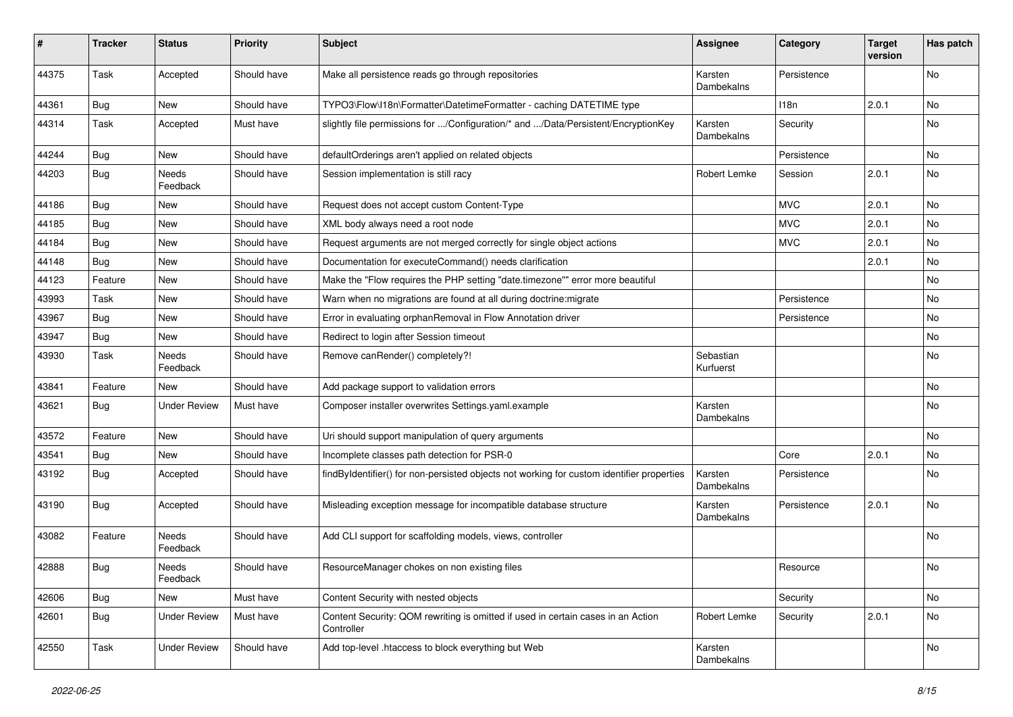| #     | <b>Tracker</b> | <b>Status</b>       | <b>Priority</b> | <b>Subject</b>                                                                                 | <b>Assignee</b>        | Category    | <b>Target</b><br>version | Has patch |
|-------|----------------|---------------------|-----------------|------------------------------------------------------------------------------------------------|------------------------|-------------|--------------------------|-----------|
| 44375 | Task           | Accepted            | Should have     | Make all persistence reads go through repositories                                             | Karsten<br>Dambekalns  | Persistence |                          | No        |
| 44361 | <b>Bug</b>     | New                 | Should have     | TYPO3\Flow\I18n\Formatter\DatetimeFormatter - caching DATETIME type                            |                        | 118n        | 2.0.1                    | No        |
| 44314 | Task           | Accepted            | Must have       | slightly file permissions for /Configuration/* and /Data/Persistent/EncryptionKey              | Karsten<br>Dambekalns  | Security    |                          | No        |
| 44244 | Bug            | New                 | Should have     | defaultOrderings aren't applied on related objects                                             |                        | Persistence |                          | <b>No</b> |
| 44203 | <b>Bug</b>     | Needs<br>Feedback   | Should have     | Session implementation is still racy                                                           | Robert Lemke           | Session     | 2.0.1                    | No        |
| 44186 | Bug            | <b>New</b>          | Should have     | Request does not accept custom Content-Type                                                    |                        | <b>MVC</b>  | 2.0.1                    | <b>No</b> |
| 44185 | Bug            | New                 | Should have     | XML body always need a root node                                                               |                        | <b>MVC</b>  | 2.0.1                    | No        |
| 44184 | Bug            | New                 | Should have     | Request arguments are not merged correctly for single object actions                           |                        | <b>MVC</b>  | 2.0.1                    | No        |
| 44148 | Bug            | New                 | Should have     | Documentation for executeCommand() needs clarification                                         |                        |             | 2.0.1                    | No        |
| 44123 | Feature        | New                 | Should have     | Make the "Flow requires the PHP setting "date.timezone"" error more beautiful                  |                        |             |                          | No        |
| 43993 | Task           | New                 | Should have     | Warn when no migrations are found at all during doctrine: migrate                              |                        | Persistence |                          | <b>No</b> |
| 43967 | Bug            | New                 | Should have     | Error in evaluating orphanRemoval in Flow Annotation driver                                    |                        | Persistence |                          | No        |
| 43947 | Bug            | New                 | Should have     | Redirect to login after Session timeout                                                        |                        |             |                          | No        |
| 43930 | Task           | Needs<br>Feedback   | Should have     | Remove canRender() completely?!                                                                | Sebastian<br>Kurfuerst |             |                          | No        |
| 43841 | Feature        | New                 | Should have     | Add package support to validation errors                                                       |                        |             |                          | No        |
| 43621 | Bug            | <b>Under Review</b> | Must have       | Composer installer overwrites Settings.yaml.example                                            | Karsten<br>Dambekalns  |             |                          | No        |
| 43572 | Feature        | New                 | Should have     | Uri should support manipulation of query arguments                                             |                        |             |                          | <b>No</b> |
| 43541 | Bug            | New                 | Should have     | Incomplete classes path detection for PSR-0                                                    |                        | Core        | 2.0.1                    | No        |
| 43192 | Bug            | Accepted            | Should have     | findByIdentifier() for non-persisted objects not working for custom identifier properties      | Karsten<br>Dambekalns  | Persistence |                          | No        |
| 43190 | Bug            | Accepted            | Should have     | Misleading exception message for incompatible database structure                               | Karsten<br>Dambekalns  | Persistence | 2.0.1                    | <b>No</b> |
| 43082 | Feature        | Needs<br>Feedback   | Should have     | Add CLI support for scaffolding models, views, controller                                      |                        |             |                          | No        |
| 42888 | Bug            | Needs<br>Feedback   | Should have     | ResourceManager chokes on non existing files                                                   |                        | Resource    |                          | No        |
| 42606 | Bug            | New                 | Must have       | Content Security with nested objects                                                           |                        | Security    |                          | No        |
| 42601 | Bug            | <b>Under Review</b> | Must have       | Content Security: QOM rewriting is omitted if used in certain cases in an Action<br>Controller | Robert Lemke           | Security    | 2.0.1                    | No        |
| 42550 | Task           | <b>Under Review</b> | Should have     | Add top-level .htaccess to block everything but Web                                            | Karsten<br>Dambekalns  |             |                          | No        |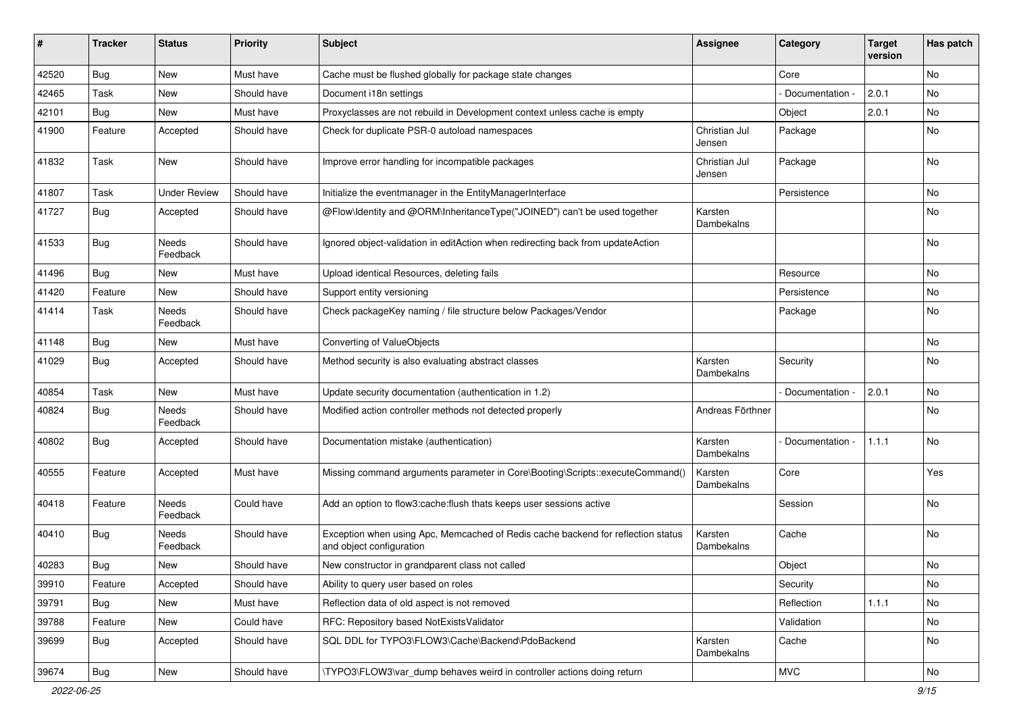| #     | <b>Tracker</b> | <b>Status</b>       | <b>Priority</b> | Subject                                                                                                      | <b>Assignee</b>         | Category          | <b>Target</b><br>version | Has patch |
|-------|----------------|---------------------|-----------------|--------------------------------------------------------------------------------------------------------------|-------------------------|-------------------|--------------------------|-----------|
| 42520 | <b>Bug</b>     | <b>New</b>          | Must have       | Cache must be flushed globally for package state changes                                                     |                         | Core              |                          | No        |
| 42465 | Task           | New                 | Should have     | Document i18n settings                                                                                       |                         | Documentation -   | 2.0.1                    | No        |
| 42101 | Bug            | New                 | Must have       | Proxyclasses are not rebuild in Development context unless cache is empty                                    |                         | Object            | 2.0.1                    | No        |
| 41900 | Feature        | Accepted            | Should have     | Check for duplicate PSR-0 autoload namespaces                                                                | Christian Jul<br>Jensen | Package           |                          | No        |
| 41832 | Task           | <b>New</b>          | Should have     | Improve error handling for incompatible packages                                                             | Christian Jul<br>Jensen | Package           |                          | <b>No</b> |
| 41807 | Task           | <b>Under Review</b> | Should have     | Initialize the eventmanager in the EntityManagerInterface                                                    |                         | Persistence       |                          | No        |
| 41727 | Bug            | Accepted            | Should have     | @Flow\Identity and @ORM\InheritanceType("JOINED") can't be used together                                     | Karsten<br>Dambekalns   |                   |                          | No        |
| 41533 | <b>Bug</b>     | Needs<br>Feedback   | Should have     | Ignored object-validation in editAction when redirecting back from updateAction                              |                         |                   |                          | No        |
| 41496 | <b>Bug</b>     | New                 | Must have       | Upload identical Resources, deleting fails                                                                   |                         | Resource          |                          | <b>No</b> |
| 41420 | Feature        | New                 | Should have     | Support entity versioning                                                                                    |                         | Persistence       |                          | No        |
| 41414 | Task           | Needs<br>Feedback   | Should have     | Check packageKey naming / file structure below Packages/Vendor                                               |                         | Package           |                          | No        |
| 41148 | <b>Bug</b>     | <b>New</b>          | Must have       | Converting of ValueObjects                                                                                   |                         |                   |                          | <b>No</b> |
| 41029 | <b>Bug</b>     | Accepted            | Should have     | Method security is also evaluating abstract classes                                                          | Karsten<br>Dambekalns   | Security          |                          | No        |
| 40854 | Task           | <b>New</b>          | Must have       | Update security documentation (authentication in 1.2)                                                        |                         | Documentation -   | 2.0.1                    | No        |
| 40824 | <b>Bug</b>     | Needs<br>Feedback   | Should have     | Modified action controller methods not detected properly                                                     | Andreas Förthner        |                   |                          | No        |
| 40802 | <b>Bug</b>     | Accepted            | Should have     | Documentation mistake (authentication)                                                                       | Karsten<br>Dambekalns   | - Documentation - | 1.1.1                    | <b>No</b> |
| 40555 | Feature        | Accepted            | Must have       | Missing command arguments parameter in Core\Booting\Scripts::executeCommand()                                | Karsten<br>Dambekalns   | Core              |                          | Yes       |
| 40418 | Feature        | Needs<br>Feedback   | Could have      | Add an option to flow3:cache:flush thats keeps user sessions active                                          |                         | Session           |                          | <b>No</b> |
| 40410 | <b>Bug</b>     | Needs<br>Feedback   | Should have     | Exception when using Apc, Memcached of Redis cache backend for reflection status<br>and object configuration | Karsten<br>Dambekalns   | Cache             |                          | No        |
| 40283 | Bug            | New                 | Should have     | New constructor in grandparent class not called                                                              |                         | Object            |                          | No        |
| 39910 | Feature        | Accepted            | Should have     | Ability to query user based on roles                                                                         |                         | Security          |                          | No        |
| 39791 | Bug            | New                 | Must have       | Reflection data of old aspect is not removed                                                                 |                         | Reflection        | 1.1.1                    | No        |
| 39788 | Feature        | New                 | Could have      | RFC: Repository based NotExistsValidator                                                                     |                         | Validation        |                          | No        |
| 39699 | Bug            | Accepted            | Should have     | SQL DDL for TYPO3\FLOW3\Cache\Backend\PdoBackend                                                             | Karsten<br>Dambekalns   | Cache             |                          | No        |
| 39674 | Bug            | New                 | Should have     | \TYPO3\FLOW3\var_dump behaves weird in controller actions doing return                                       |                         | <b>MVC</b>        |                          | No        |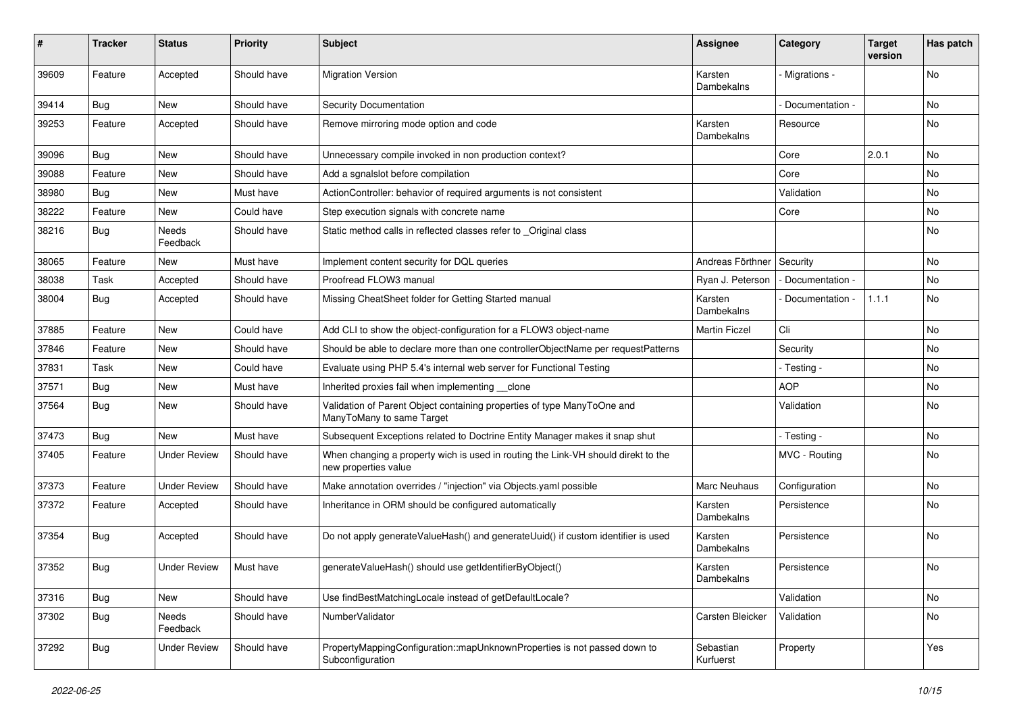| #     | <b>Tracker</b> | <b>Status</b>       | <b>Priority</b> | <b>Subject</b>                                                                                            | <b>Assignee</b>        | Category          | <b>Target</b><br>version | Has patch |
|-------|----------------|---------------------|-----------------|-----------------------------------------------------------------------------------------------------------|------------------------|-------------------|--------------------------|-----------|
| 39609 | Feature        | Accepted            | Should have     | <b>Migration Version</b>                                                                                  | Karsten<br>Dambekalns  | Migrations -      |                          | No        |
| 39414 | <b>Bug</b>     | New                 | Should have     | Security Documentation                                                                                    |                        | Documentation -   |                          | No        |
| 39253 | Feature        | Accepted            | Should have     | Remove mirroring mode option and code                                                                     | Karsten<br>Dambekalns  | Resource          |                          | No        |
| 39096 | Bug            | <b>New</b>          | Should have     | Unnecessary compile invoked in non production context?                                                    |                        | Core              | 2.0.1                    | <b>No</b> |
| 39088 | Feature        | New                 | Should have     | Add a sqnalslot before compilation                                                                        |                        | Core              |                          | No        |
| 38980 | <b>Bug</b>     | New                 | Must have       | ActionController: behavior of required arguments is not consistent                                        |                        | Validation        |                          | No        |
| 38222 | Feature        | New                 | Could have      | Step execution signals with concrete name                                                                 |                        | Core              |                          | No        |
| 38216 | Bug            | Needs<br>Feedback   | Should have     | Static method calls in reflected classes refer to _Original class                                         |                        |                   |                          | No        |
| 38065 | Feature        | New                 | Must have       | Implement content security for DQL queries                                                                | Andreas Förthner       | Security          |                          | No        |
| 38038 | Task           | Accepted            | Should have     | Proofread FLOW3 manual                                                                                    | Ryan J. Peterson       | - Documentation - |                          | No        |
| 38004 | Bug            | Accepted            | Should have     | Missing CheatSheet folder for Getting Started manual                                                      | Karsten<br>Dambekalns  | Documentation -   | 1.1.1                    | No        |
| 37885 | Feature        | <b>New</b>          | Could have      | Add CLI to show the object-configuration for a FLOW3 object-name                                          | <b>Martin Ficzel</b>   | Cli               |                          | <b>No</b> |
| 37846 | Feature        | New                 | Should have     | Should be able to declare more than one controllerObjectName per requestPatterns                          |                        | Security          |                          | No        |
| 37831 | Task           | New                 | Could have      | Evaluate using PHP 5.4's internal web server for Functional Testing                                       |                        | - Testing -       |                          | No        |
| 37571 | <b>Bug</b>     | New                 | Must have       | Inherited proxies fail when implementing clone                                                            |                        | <b>AOP</b>        |                          | No        |
| 37564 | <b>Bug</b>     | New                 | Should have     | Validation of Parent Object containing properties of type ManyToOne and<br>ManyToMany to same Target      |                        | Validation        |                          | No        |
| 37473 | <b>Bug</b>     | New                 | Must have       | Subsequent Exceptions related to Doctrine Entity Manager makes it snap shut                               |                        | - Testing -       |                          | <b>No</b> |
| 37405 | Feature        | <b>Under Review</b> | Should have     | When changing a property wich is used in routing the Link-VH should direkt to the<br>new properties value |                        | MVC - Routing     |                          | No        |
| 37373 | Feature        | <b>Under Review</b> | Should have     | Make annotation overrides / "injection" via Objects.yaml possible                                         | Marc Neuhaus           | Configuration     |                          | No        |
| 37372 | Feature        | Accepted            | Should have     | Inheritance in ORM should be configured automatically                                                     | Karsten<br>Dambekalns  | Persistence       |                          | No        |
| 37354 | <b>Bug</b>     | Accepted            | Should have     | Do not apply generateValueHash() and generateUuid() if custom identifier is used                          | Karsten<br>Dambekalns  | Persistence       |                          | No        |
| 37352 | <b>Bug</b>     | <b>Under Review</b> | Must have       | generateValueHash() should use getIdentifierByObject()                                                    | Karsten<br>Dambekalns  | Persistence       |                          | No        |
| 37316 | <b>Bug</b>     | New                 | Should have     | Use findBestMatchingLocale instead of getDefaultLocale?                                                   |                        | Validation        |                          | No        |
| 37302 | <b>Bug</b>     | Needs<br>Feedback   | Should have     | NumberValidator                                                                                           | Carsten Bleicker       | Validation        |                          | No        |
| 37292 | Bug            | <b>Under Review</b> | Should have     | PropertyMappingConfiguration::mapUnknownProperties is not passed down to<br>Subconfiguration              | Sebastian<br>Kurfuerst | Property          |                          | Yes       |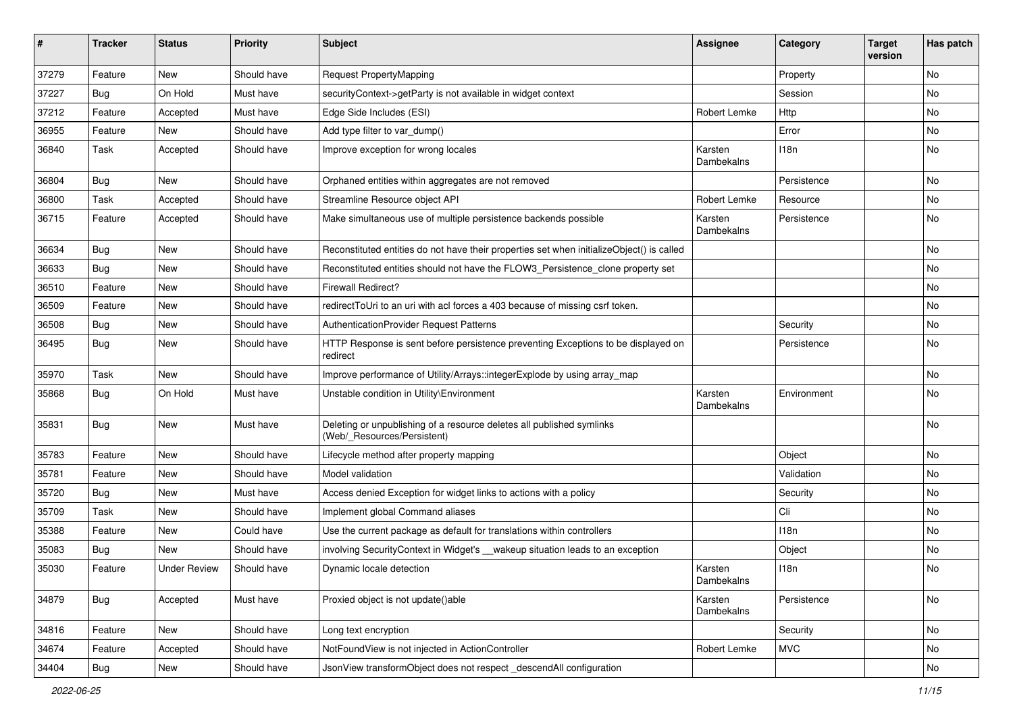| #     | <b>Tracker</b>   | <b>Status</b>       | <b>Priority</b> | <b>Subject</b>                                                                                       | <b>Assignee</b>       | Category    | <b>Target</b><br>version | Has patch |
|-------|------------------|---------------------|-----------------|------------------------------------------------------------------------------------------------------|-----------------------|-------------|--------------------------|-----------|
| 37279 | Feature          | <b>New</b>          | Should have     | <b>Request PropertyMapping</b>                                                                       |                       | Property    |                          | No        |
| 37227 | <b>Bug</b>       | On Hold             | Must have       | securityContext->getParty is not available in widget context                                         |                       | Session     |                          | No        |
| 37212 | Feature          | Accepted            | Must have       | Edge Side Includes (ESI)                                                                             | Robert Lemke          | Http        |                          | No        |
| 36955 | Feature          | <b>New</b>          | Should have     | Add type filter to var_dump()                                                                        |                       | Error       |                          | No        |
| 36840 | Task             | Accepted            | Should have     | Improve exception for wrong locales                                                                  | Karsten<br>Dambekalns | 118n        |                          | No        |
| 36804 | <b>Bug</b>       | New                 | Should have     | Orphaned entities within aggregates are not removed                                                  |                       | Persistence |                          | No        |
| 36800 | Task             | Accepted            | Should have     | Streamline Resource object API                                                                       | Robert Lemke          | Resource    |                          | <b>No</b> |
| 36715 | Feature          | Accepted            | Should have     | Make simultaneous use of multiple persistence backends possible                                      | Karsten<br>Dambekalns | Persistence |                          | No        |
| 36634 | Bug              | New                 | Should have     | Reconstituted entities do not have their properties set when initializeObject() is called            |                       |             |                          | No        |
| 36633 | <b>Bug</b>       | <b>New</b>          | Should have     | Reconstituted entities should not have the FLOW3_Persistence_clone property set                      |                       |             |                          | No        |
| 36510 | Feature          | <b>New</b>          | Should have     | <b>Firewall Redirect?</b>                                                                            |                       |             |                          | No        |
| 36509 | Feature          | <b>New</b>          | Should have     | redirectToUri to an uri with acl forces a 403 because of missing csrf token.                         |                       |             |                          | <b>No</b> |
| 36508 | <b>Bug</b>       | New                 | Should have     | AuthenticationProvider Request Patterns                                                              |                       | Security    |                          | No        |
| 36495 | <b>Bug</b>       | New                 | Should have     | HTTP Response is sent before persistence preventing Exceptions to be displayed on<br>redirect        |                       | Persistence |                          | No        |
| 35970 | Task             | <b>New</b>          | Should have     | Improve performance of Utility/Arrays::integerExplode by using array_map                             |                       |             |                          | <b>No</b> |
| 35868 | <b>Bug</b>       | On Hold             | Must have       | Unstable condition in Utility\Environment                                                            | Karsten<br>Dambekalns | Environment |                          | No        |
| 35831 | Bug              | <b>New</b>          | Must have       | Deleting or unpublishing of a resource deletes all published symlinks<br>(Web/_Resources/Persistent) |                       |             |                          | No        |
| 35783 | Feature          | <b>New</b>          | Should have     | Lifecycle method after property mapping                                                              |                       | Object      |                          | No        |
| 35781 | Feature          | New                 | Should have     | Model validation                                                                                     |                       | Validation  |                          | <b>No</b> |
| 35720 | Bug              | <b>New</b>          | Must have       | Access denied Exception for widget links to actions with a policy                                    |                       | Security    |                          | No        |
| 35709 | Task             | <b>New</b>          | Should have     | Implement global Command aliases                                                                     |                       | Cli         |                          | No        |
| 35388 | Feature          | New                 | Could have      | Use the current package as default for translations within controllers                               |                       | 118n        |                          | No        |
| 35083 | <b>Bug</b>       | <b>New</b>          | Should have     | involving SecurityContext in Widget's __wakeup situation leads to an exception                       |                       | Object      |                          | No        |
| 35030 | Feature          | <b>Under Review</b> | Should have     | Dynamic locale detection                                                                             | Karsten<br>Dambekalns | 118n        |                          | No        |
| 34879 | Bug              | Accepted            | Must have       | Proxied object is not update()able                                                                   | Karsten<br>Dambekalns | Persistence |                          | No        |
| 34816 | Feature          | New                 | Should have     | Long text encryption                                                                                 |                       | Security    |                          | No        |
| 34674 | Feature          | Accepted            | Should have     | NotFoundView is not injected in ActionController                                                     | Robert Lemke          | <b>MVC</b>  |                          | No        |
| 34404 | <sub>I</sub> Bug | New                 | Should have     | JsonView transformObject does not respect descendAll configuration                                   |                       |             |                          | No        |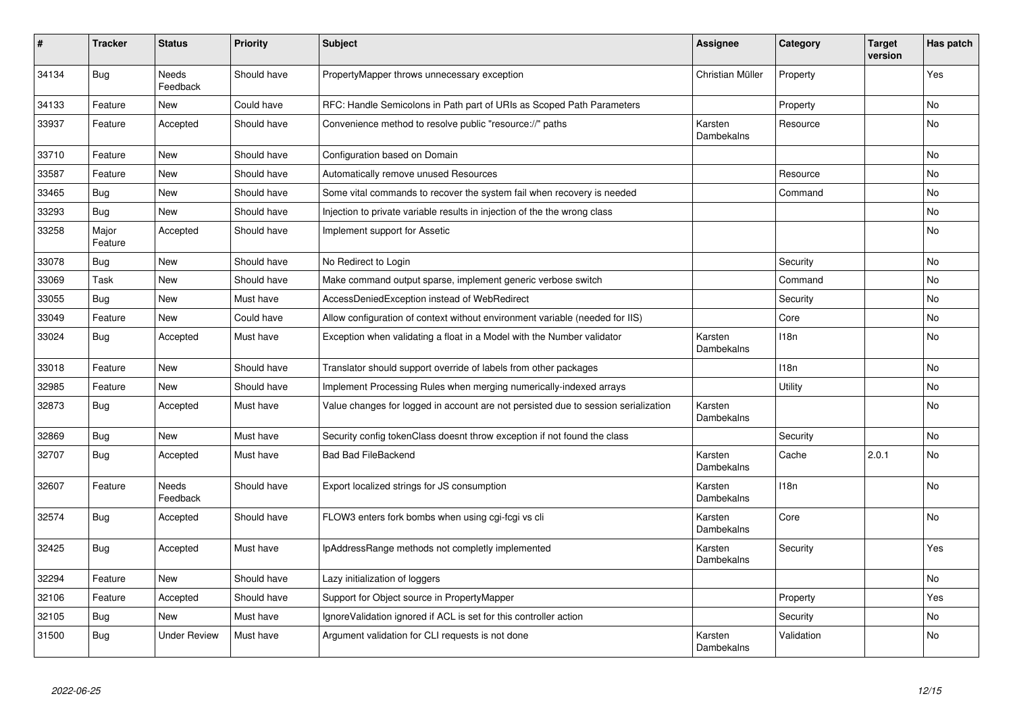| #     | <b>Tracker</b>   | <b>Status</b>            | <b>Priority</b> | <b>Subject</b>                                                                     | <b>Assignee</b>       | Category   | <b>Target</b><br>version | Has patch      |
|-------|------------------|--------------------------|-----------------|------------------------------------------------------------------------------------|-----------------------|------------|--------------------------|----------------|
| 34134 | <b>Bug</b>       | <b>Needs</b><br>Feedback | Should have     | PropertyMapper throws unnecessary exception                                        | Christian Müller      | Property   |                          | Yes            |
| 34133 | Feature          | <b>New</b>               | Could have      | RFC: Handle Semicolons in Path part of URIs as Scoped Path Parameters              |                       | Property   |                          | <b>No</b>      |
| 33937 | Feature          | Accepted                 | Should have     | Convenience method to resolve public "resource://" paths                           | Karsten<br>Dambekalns | Resource   |                          | No             |
| 33710 | Feature          | <b>New</b>               | Should have     | Configuration based on Domain                                                      |                       |            |                          | No             |
| 33587 | Feature          | <b>New</b>               | Should have     | Automatically remove unused Resources                                              |                       | Resource   |                          | <b>No</b>      |
| 33465 | Bug              | <b>New</b>               | Should have     | Some vital commands to recover the system fail when recovery is needed             |                       | Command    |                          | No             |
| 33293 | Bug              | <b>New</b>               | Should have     | Injection to private variable results in injection of the the wrong class          |                       |            |                          | No             |
| 33258 | Major<br>Feature | Accepted                 | Should have     | Implement support for Assetic                                                      |                       |            |                          | No             |
| 33078 | <b>Bug</b>       | <b>New</b>               | Should have     | No Redirect to Login                                                               |                       | Security   |                          | <b>No</b>      |
| 33069 | Task             | <b>New</b>               | Should have     | Make command output sparse, implement generic verbose switch                       |                       | Command    |                          | <b>No</b>      |
| 33055 | Bug              | <b>New</b>               | Must have       | AccessDeniedException instead of WebRedirect                                       |                       | Security   |                          | No             |
| 33049 | Feature          | New                      | Could have      | Allow configuration of context without environment variable (needed for IIS)       |                       | Core       |                          | No             |
| 33024 | <b>Bug</b>       | Accepted                 | Must have       | Exception when validating a float in a Model with the Number validator             | Karsten<br>Dambekalns | 118n       |                          | No             |
| 33018 | Feature          | <b>New</b>               | Should have     | Translator should support override of labels from other packages                   |                       | 118n       |                          | No             |
| 32985 | Feature          | <b>New</b>               | Should have     | Implement Processing Rules when merging numerically-indexed arrays                 |                       | Utility    |                          | N <sub>o</sub> |
| 32873 | Bug              | Accepted                 | Must have       | Value changes for logged in account are not persisted due to session serialization | Karsten<br>Dambekalns |            |                          | No             |
| 32869 | <b>Bug</b>       | <b>New</b>               | Must have       | Security config tokenClass doesnt throw exception if not found the class           |                       | Security   |                          | <b>No</b>      |
| 32707 | Bug              | Accepted                 | Must have       | <b>Bad Bad FileBackend</b>                                                         | Karsten<br>Dambekalns | Cache      | 2.0.1                    | No             |
| 32607 | Feature          | Needs<br>Feedback        | Should have     | Export localized strings for JS consumption                                        | Karsten<br>Dambekalns | 118n       |                          | No             |
| 32574 | <b>Bug</b>       | Accepted                 | Should have     | FLOW3 enters fork bombs when using cgi-fcgi vs cli                                 | Karsten<br>Dambekalns | Core       |                          | No             |
| 32425 | Bug              | Accepted                 | Must have       | IpAddressRange methods not completly implemented                                   | Karsten<br>Dambekalns | Security   |                          | Yes            |
| 32294 | Feature          | <b>New</b>               | Should have     | Lazy initialization of loggers                                                     |                       |            |                          | No             |
| 32106 | Feature          | Accepted                 | Should have     | Support for Object source in PropertyMapper                                        |                       | Property   |                          | Yes            |
| 32105 | Bug              | <b>New</b>               | Must have       | Ignore Validation ignored if ACL is set for this controller action                 |                       | Security   |                          | No             |
| 31500 | <b>Bug</b>       | <b>Under Review</b>      | Must have       | Argument validation for CLI requests is not done                                   | Karsten<br>Dambekalns | Validation |                          | No             |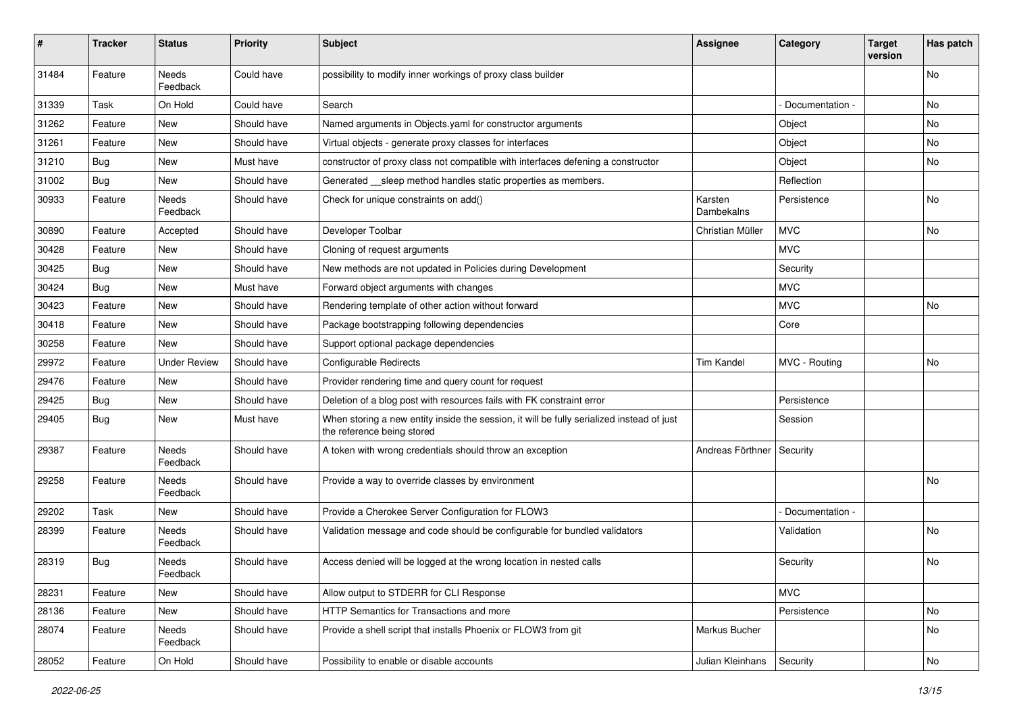| #     | <b>Tracker</b> | <b>Status</b>       | <b>Priority</b> | <b>Subject</b>                                                                                                          | Assignee              | Category        | <b>Target</b><br>version | Has patch |
|-------|----------------|---------------------|-----------------|-------------------------------------------------------------------------------------------------------------------------|-----------------------|-----------------|--------------------------|-----------|
| 31484 | Feature        | Needs<br>Feedback   | Could have      | possibility to modify inner workings of proxy class builder                                                             |                       |                 |                          | No        |
| 31339 | Task           | On Hold             | Could have      | Search                                                                                                                  |                       | Documentation - |                          | No        |
| 31262 | Feature        | <b>New</b>          | Should have     | Named arguments in Objects.yaml for constructor arguments                                                               |                       | Object          |                          | No        |
| 31261 | Feature        | New                 | Should have     | Virtual objects - generate proxy classes for interfaces                                                                 |                       | Object          |                          | No        |
| 31210 | <b>Bug</b>     | New                 | Must have       | constructor of proxy class not compatible with interfaces defening a constructor                                        |                       | Object          |                          | No.       |
| 31002 | Bug            | New                 | Should have     | Generated __ sleep method handles static properties as members.                                                         |                       | Reflection      |                          |           |
| 30933 | Feature        | Needs<br>Feedback   | Should have     | Check for unique constraints on add()                                                                                   | Karsten<br>Dambekalns | Persistence     |                          | <b>No</b> |
| 30890 | Feature        | Accepted            | Should have     | Developer Toolbar                                                                                                       | Christian Müller      | <b>MVC</b>      |                          | No        |
| 30428 | Feature        | New                 | Should have     | Cloning of request arguments                                                                                            |                       | <b>MVC</b>      |                          |           |
| 30425 | <b>Bug</b>     | <b>New</b>          | Should have     | New methods are not updated in Policies during Development                                                              |                       | Security        |                          |           |
| 30424 | <b>Bug</b>     | New                 | Must have       | Forward object arguments with changes                                                                                   |                       | <b>MVC</b>      |                          |           |
| 30423 | Feature        | New                 | Should have     | Rendering template of other action without forward                                                                      |                       | <b>MVC</b>      |                          | No.       |
| 30418 | Feature        | New                 | Should have     | Package bootstrapping following dependencies                                                                            |                       | Core            |                          |           |
| 30258 | Feature        | New                 | Should have     | Support optional package dependencies                                                                                   |                       |                 |                          |           |
| 29972 | Feature        | <b>Under Review</b> | Should have     | Configurable Redirects                                                                                                  | <b>Tim Kandel</b>     | MVC - Routing   |                          | No        |
| 29476 | Feature        | New                 | Should have     | Provider rendering time and query count for request                                                                     |                       |                 |                          |           |
| 29425 | <b>Bug</b>     | New                 | Should have     | Deletion of a blog post with resources fails with FK constraint error                                                   |                       | Persistence     |                          |           |
| 29405 | <b>Bug</b>     | New                 | Must have       | When storing a new entity inside the session, it will be fully serialized instead of just<br>the reference being stored |                       | Session         |                          |           |
| 29387 | Feature        | Needs<br>Feedback   | Should have     | A token with wrong credentials should throw an exception                                                                | Andreas Förthner      | Security        |                          |           |
| 29258 | Feature        | Needs<br>Feedback   | Should have     | Provide a way to override classes by environment                                                                        |                       |                 |                          | No        |
| 29202 | Task           | New                 | Should have     | Provide a Cherokee Server Configuration for FLOW3                                                                       |                       | Documentation - |                          |           |
| 28399 | Feature        | Needs<br>Feedback   | Should have     | Validation message and code should be configurable for bundled validators                                               |                       | Validation      |                          | No.       |
| 28319 | <b>Bug</b>     | Needs<br>Feedback   | Should have     | Access denied will be logged at the wrong location in nested calls                                                      |                       | Security        |                          | No        |
| 28231 | Feature        | New                 | Should have     | Allow output to STDERR for CLI Response                                                                                 |                       | <b>MVC</b>      |                          |           |
| 28136 | Feature        | New                 | Should have     | HTTP Semantics for Transactions and more                                                                                |                       | Persistence     |                          | No        |
| 28074 | Feature        | Needs<br>Feedback   | Should have     | Provide a shell script that installs Phoenix or FLOW3 from git                                                          | Markus Bucher         |                 |                          | No        |
| 28052 | Feature        | On Hold             | Should have     | Possibility to enable or disable accounts                                                                               | Julian Kleinhans      | Security        |                          | No        |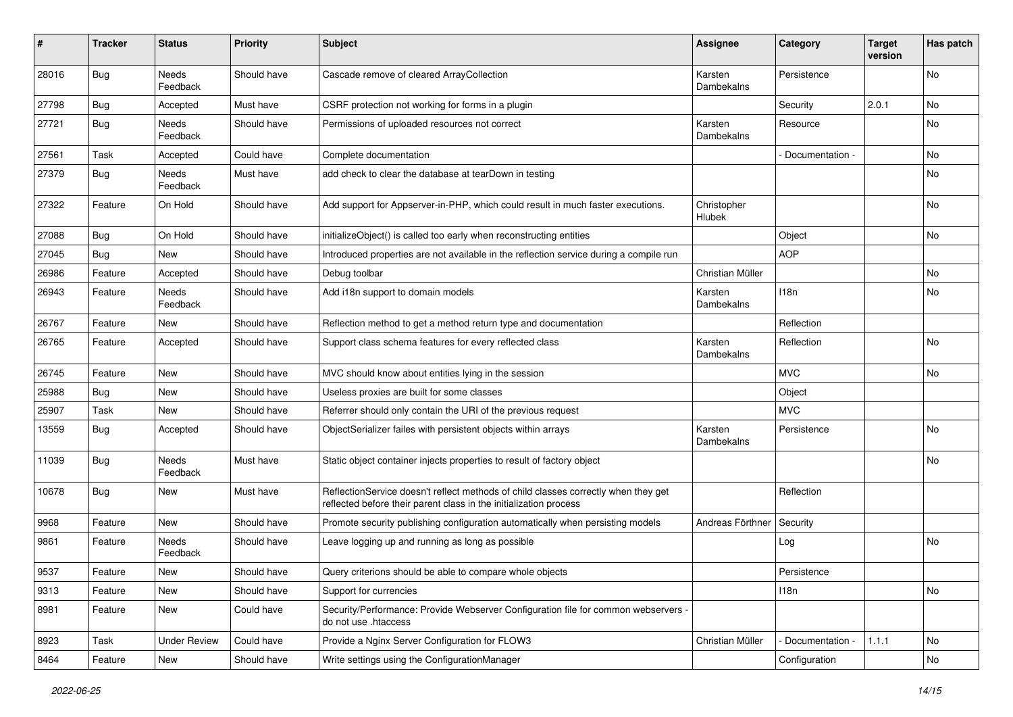| #     | <b>Tracker</b> | <b>Status</b>            | <b>Priority</b> | Subject                                                                                                                                                 | <b>Assignee</b>       | Category        | <b>Target</b><br>version | Has patch |
|-------|----------------|--------------------------|-----------------|---------------------------------------------------------------------------------------------------------------------------------------------------------|-----------------------|-----------------|--------------------------|-----------|
| 28016 | <b>Bug</b>     | Needs<br>Feedback        | Should have     | Cascade remove of cleared ArrayCollection                                                                                                               | Karsten<br>Dambekalns | Persistence     |                          | No        |
| 27798 | <b>Bug</b>     | Accepted                 | Must have       | CSRF protection not working for forms in a plugin                                                                                                       |                       | Security        | 2.0.1                    | No        |
| 27721 | <b>Bug</b>     | Needs<br>Feedback        | Should have     | Permissions of uploaded resources not correct                                                                                                           | Karsten<br>Dambekalns | Resource        |                          | No        |
| 27561 | Task           | Accepted                 | Could have      | Complete documentation                                                                                                                                  |                       | Documentation - |                          | <b>No</b> |
| 27379 | <b>Bug</b>     | Needs<br>Feedback        | Must have       | add check to clear the database at tearDown in testing                                                                                                  |                       |                 |                          | No        |
| 27322 | Feature        | On Hold                  | Should have     | Add support for Appserver-in-PHP, which could result in much faster executions.                                                                         | Christopher<br>Hlubek |                 |                          | No        |
| 27088 | <b>Bug</b>     | On Hold                  | Should have     | initializeObject() is called too early when reconstructing entities                                                                                     |                       | Object          |                          | No        |
| 27045 | Bug            | <b>New</b>               | Should have     | Introduced properties are not available in the reflection service during a compile run                                                                  |                       | <b>AOP</b>      |                          |           |
| 26986 | Feature        | Accepted                 | Should have     | Debug toolbar                                                                                                                                           | Christian Müller      |                 |                          | <b>No</b> |
| 26943 | Feature        | <b>Needs</b><br>Feedback | Should have     | Add i18n support to domain models                                                                                                                       | Karsten<br>Dambekalns | 118n            |                          | No        |
| 26767 | Feature        | New                      | Should have     | Reflection method to get a method return type and documentation                                                                                         |                       | Reflection      |                          |           |
| 26765 | Feature        | Accepted                 | Should have     | Support class schema features for every reflected class                                                                                                 | Karsten<br>Dambekalns | Reflection      |                          | No        |
| 26745 | Feature        | <b>New</b>               | Should have     | MVC should know about entities lying in the session                                                                                                     |                       | <b>MVC</b>      |                          | <b>No</b> |
| 25988 | Bug            | New                      | Should have     | Useless proxies are built for some classes                                                                                                              |                       | Object          |                          |           |
| 25907 | Task           | New                      | Should have     | Referrer should only contain the URI of the previous request                                                                                            |                       | <b>MVC</b>      |                          |           |
| 13559 | <b>Bug</b>     | Accepted                 | Should have     | ObjectSerializer failes with persistent objects within arrays                                                                                           | Karsten<br>Dambekalns | Persistence     |                          | No        |
| 11039 | Bug            | Needs<br>Feedback        | Must have       | Static object container injects properties to result of factory object                                                                                  |                       |                 |                          | No        |
| 10678 | <b>Bug</b>     | New                      | Must have       | ReflectionService doesn't reflect methods of child classes correctly when they get<br>reflected before their parent class in the initialization process |                       | Reflection      |                          |           |
| 9968  | Feature        | New                      | Should have     | Promote security publishing configuration automatically when persisting models                                                                          | Andreas Förthner      | Security        |                          |           |
| 9861  | Feature        | Needs<br>Feedback        | Should have     | Leave logging up and running as long as possible                                                                                                        |                       | Log             |                          | <b>No</b> |
| 9537  | Feature        | New                      | Should have     | Query criterions should be able to compare whole objects                                                                                                |                       | Persistence     |                          |           |
| 9313  | Feature        | New                      | Should have     | Support for currencies                                                                                                                                  |                       | 118n            |                          | No        |
| 8981  | Feature        | New                      | Could have      | Security/Performance: Provide Webserver Configuration file for common webservers -<br>do not use .htaccess                                              |                       |                 |                          |           |
| 8923  | Task           | <b>Under Review</b>      | Could have      | Provide a Nginx Server Configuration for FLOW3                                                                                                          | Christian Müller      | Documentation - | 1.1.1                    | No        |
| 8464  | Feature        | New                      | Should have     | Write settings using the ConfigurationManager                                                                                                           |                       | Configuration   |                          | No        |